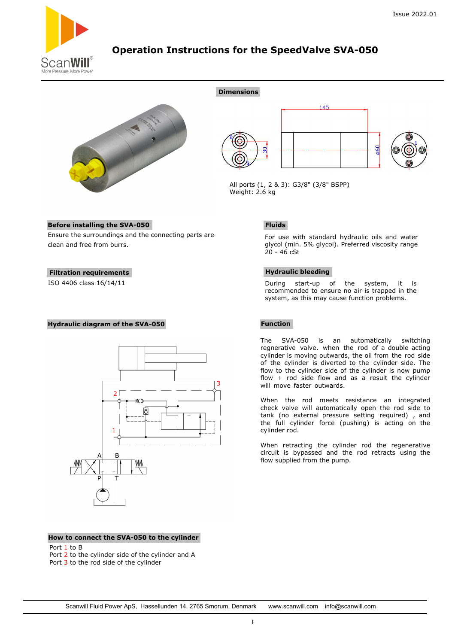

# **Operation Instructions for the SpeedValve SVA-050**

**Dimensions**





All ports (1, 2 & 3): G3/8" (3/8" BSPP) Weight: 2.6 kg

## **Before installing the SVA-050**

Ensure the surroundings and the connecting parts are clean and free from burrs.

### **Filtration requirements**

ISO 4406 class 16/14/11

### **Hydraulic diagram of the SVA-050**



### **How to connect the SVA-050 to the cylinder**

Port 1 to B

- Port 2 to the cylinder side of the cylinder and A
- Port 3 to the rod side of the cylinder

# **Function**

 $20 - 46$  cSt

**Hydraulic bleeding**

**Fluids**

The SVA-050 is an automatically switching regnerative valve. when the rod of a double acting cylinder is moving outwards, the oil from the rod side of the cylinder is diverted to the cylinder side. The flow to the cylinder side of the cylinder is now pump flow  $+$  rod side flow and as a result the cylinder will move faster outwards.

For use with standard hydraulic oils and water glycol (min. 5% glycol). Preferred viscosity range

During start-up of the system, it is recommended to ensure no air is trapped in the system, as this may cause function problems.

When the rod meets resistance an integrated check valve will automatically open the rod side to tank (no external pressure setting required) , and the full cylinder force (pushing) is acting on the cylinder rod.

When retracting the cylinder rod the regenerative circuit is bypassed and the rod retracts using the flow supplied from the pump.